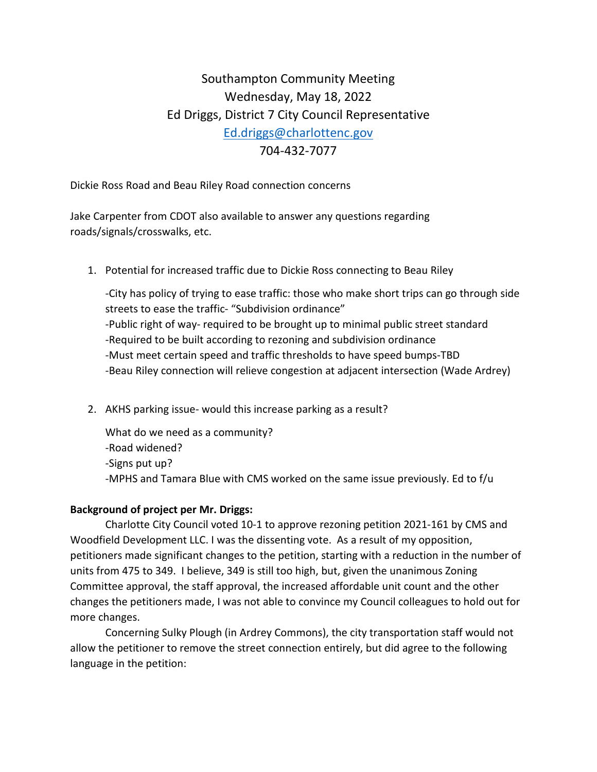## Southampton Community Meeting Wednesday, May 18, 2022 Ed Driggs, District 7 City Council Representative [Ed.driggs@charlottenc.gov](mailto:Ed.driggs@charlottenc.gov) 704-432-7077

Dickie Ross Road and Beau Riley Road connection concerns

Jake Carpenter from CDOT also available to answer any questions regarding roads/signals/crosswalks, etc.

1. Potential for increased traffic due to Dickie Ross connecting to Beau Riley

-City has policy of trying to ease traffic: those who make short trips can go through side streets to ease the traffic- "Subdivision ordinance" -Public right of way- required to be brought up to minimal public street standard -Required to be built according to rezoning and subdivision ordinance -Must meet certain speed and traffic thresholds to have speed bumps-TBD -Beau Riley connection will relieve congestion at adjacent intersection (Wade Ardrey)

2. AKHS parking issue- would this increase parking as a result?

What do we need as a community? -Road widened? -Signs put up? -MPHS and Tamara Blue with CMS worked on the same issue previously. Ed to f/u

## **Background of project per Mr. Driggs:**

Charlotte City Council voted 10-1 to approve rezoning petition 2021-161 by CMS and Woodfield Development LLC. I was the dissenting vote. As a result of my opposition, petitioners made significant changes to the petition, starting with a reduction in the number of units from 475 to 349. I believe, 349 is still too high, but, given the unanimous Zoning Committee approval, the staff approval, the increased affordable unit count and the other changes the petitioners made, I was not able to convince my Council colleagues to hold out for more changes.

Concerning Sulky Plough (in Ardrey Commons), the city transportation staff would not allow the petitioner to remove the street connection entirely, but did agree to the following language in the petition: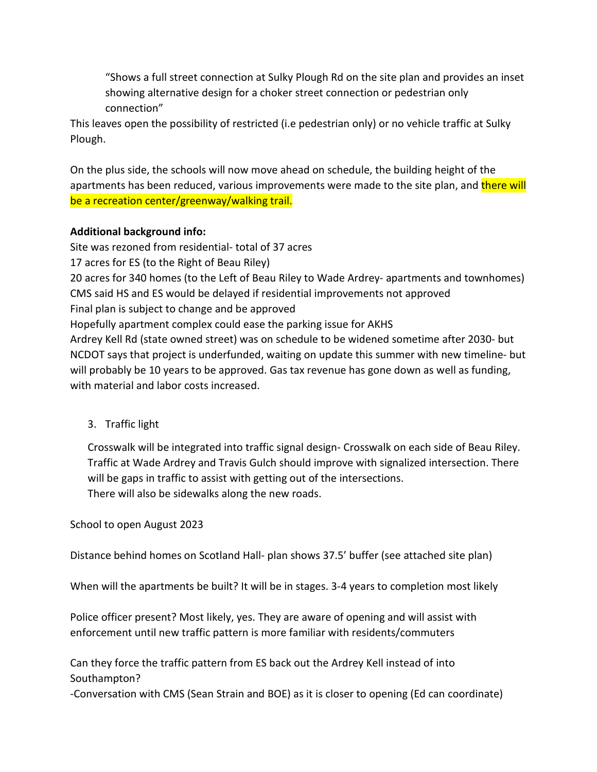"Shows a full street connection at Sulky Plough Rd on the site plan and provides an inset showing alternative design for a choker street connection or pedestrian only connection"

This leaves open the possibility of restricted (i.e pedestrian only) or no vehicle traffic at Sulky Plough.

On the plus side, the schools will now move ahead on schedule, the building height of the apartments has been reduced, various improvements were made to the site plan, and there will be a recreation center/greenway/walking trail.

## **Additional background info:**

Site was rezoned from residential- total of 37 acres 17 acres for ES (to the Right of Beau Riley) 20 acres for 340 homes (to the Left of Beau Riley to Wade Ardrey- apartments and townhomes) CMS said HS and ES would be delayed if residential improvements not approved Final plan is subject to change and be approved Hopefully apartment complex could ease the parking issue for AKHS Ardrey Kell Rd (state owned street) was on schedule to be widened sometime after 2030- but NCDOT says that project is underfunded, waiting on update this summer with new timeline- but will probably be 10 years to be approved. Gas tax revenue has gone down as well as funding, with material and labor costs increased.

3. Traffic light

Crosswalk will be integrated into traffic signal design- Crosswalk on each side of Beau Riley. Traffic at Wade Ardrey and Travis Gulch should improve with signalized intersection. There will be gaps in traffic to assist with getting out of the intersections. There will also be sidewalks along the new roads.

School to open August 2023

Distance behind homes on Scotland Hall- plan shows 37.5' buffer (see attached site plan)

When will the apartments be built? It will be in stages. 3-4 years to completion most likely

Police officer present? Most likely, yes. They are aware of opening and will assist with enforcement until new traffic pattern is more familiar with residents/commuters

Can they force the traffic pattern from ES back out the Ardrey Kell instead of into Southampton?

-Conversation with CMS (Sean Strain and BOE) as it is closer to opening (Ed can coordinate)